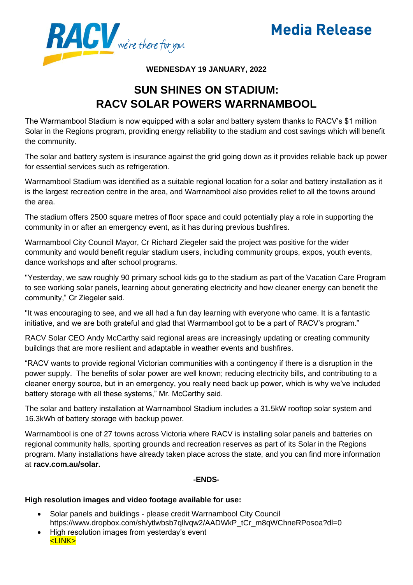



## **WEDNESDAY 19 JANUARY, 2022**

## **SUN SHINES ON STADIUM: RACV SOLAR POWERS WARRNAMBOOL**

The Warrnambool Stadium is now equipped with a solar and battery system thanks to RACV's \$1 million Solar in the Regions program, providing energy reliability to the stadium and cost savings which will benefit the community.

The solar and battery system is insurance against the grid going down as it provides reliable back up power for essential services such as refrigeration.

Warrnambool Stadium was identified as a suitable regional location for a solar and battery installation as it is the largest recreation centre in the area, and Warrnambool also provides relief to all the towns around the area.

The stadium offers 2500 square metres of floor space and could potentially play a role in supporting the community in or after an emergency event, as it has during previous bushfires.

Warrnambool City Council Mayor, Cr Richard Ziegeler said the project was positive for the wider community and would benefit regular stadium users, including community groups, expos, youth events, dance workshops and after school programs.

"Yesterday, we saw roughly 90 primary school kids go to the stadium as part of the Vacation Care Program to see working solar panels, learning about generating electricity and how cleaner energy can benefit the community," Cr Ziegeler said.

"It was encouraging to see, and we all had a fun day learning with everyone who came. It is a fantastic initiative, and we are both grateful and glad that Warrnambool got to be a part of RACV's program."

RACV Solar CEO Andy McCarthy said regional areas are increasingly updating or creating community buildings that are more resilient and adaptable in weather events and bushfires.

"RACV wants to provide regional Victorian communities with a contingency if there is a disruption in the power supply. The benefits of solar power are well known; reducing electricity bills, and contributing to a cleaner energy source, but in an emergency, you really need back up power, which is why we've included battery storage with all these systems," Mr. McCarthy said.

The solar and battery installation at Warrnambool Stadium includes a 31.5kW rooftop solar system and 16.3kWh of battery storage with backup power.

Warrnambool is one of 27 towns across Victoria where RACV is installing solar panels and batteries on regional community halls, sporting grounds and recreation reserves as part of its Solar in the Regions program. Many installations have already taken place across the state, and you can find more information at **racv.com.au/solar.**

## **-ENDS-**

## **High resolution images and video footage available for use:**

- Solar panels and buildings please credit Warrnambool City Council https://www.dropbox.com/sh/ytlwbsb7qllvqw2/AADWkP\_tCr\_m8qWChneRPosoa?dl=0
- High resolution images from yesterday's event <LINK>